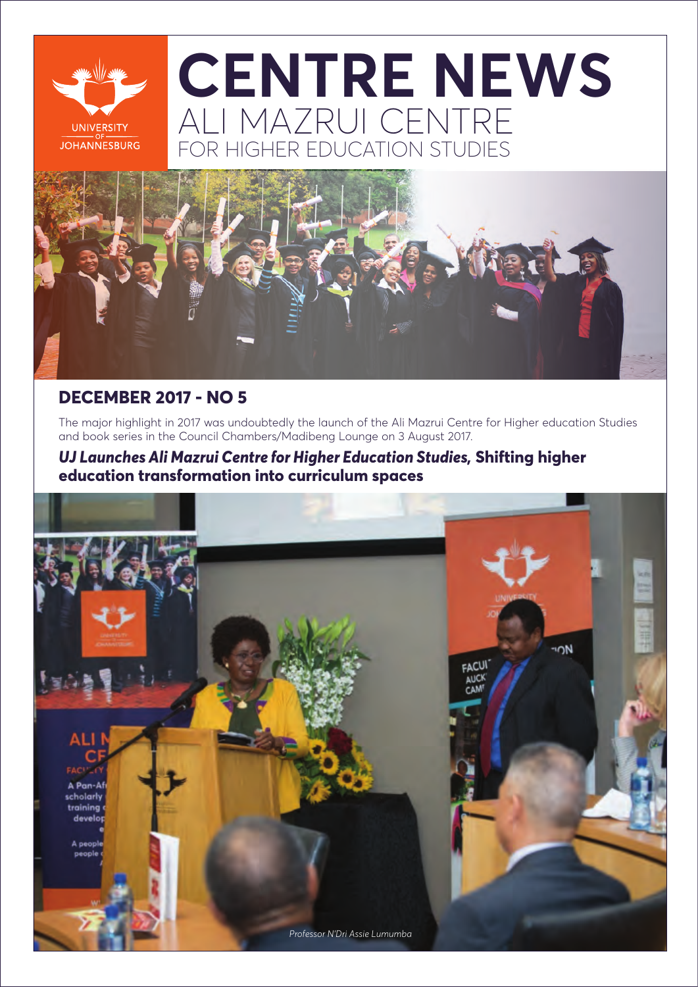

# ALI MAZRUI CENTRE **ET HIGHER EDUCATION STUDIES CENTRE NEWS**



### **DECEMBER 2017 - NO 5**

The major highlight in 2017 was undoubtedly the launch of the Ali Mazrui Centre for Higher education Studies and book series in the Council Chambers/Madibeng Lounge on 3 August 2017.

### *UJ Launches Ali Mazrui Centre for Higher Education Studies,* **Shifting higher education transformation into curriculum spaces**

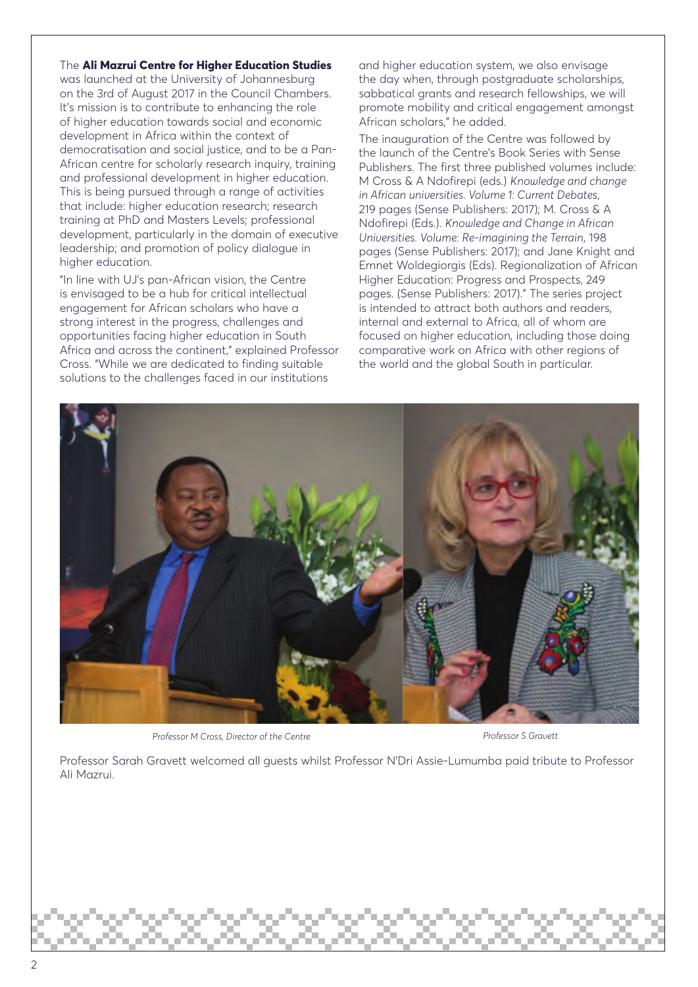#### The **Ali Mazrui Centre for Higher Education Studies**

was launched at the University of Johannesburg on the 3rd of August 2017 in the Council Chambers. It's mission is to contribute to enhancing the role of higher education towards social and economic development in Africa within the context of democratisation and social justice, and to be a Pan-African centre for scholarly research inquiry, training and professional development in higher education. This is being pursued through a range of activities that include: higher education research; research training at PhD and Masters Levels; professional development, particularly in the domain of executive leadership; and promotion of policy dialogue in higher education.

"In line with UJ's pan-African vision, the Centre is envisaged to be a hub for critical intellectual engagement for African scholars who have a strong interest in the progress, challenges and opportunities facing higher education in South Africa and across the continent," explained Professor Cross. "While we are dedicated to finding suitable solutions to the challenges faced in our institutions

and higher education system, we also envisage the day when, through postgraduate scholarships, sabbatical grants and research fellowships, we will promote mobility and critical engagement amongst African scholars," he added.

The inauguration of the Centre was followed by the launch of the Centre's Book Series with Sense Publishers. The first three published volumes include: M Cross & A Ndofirepi (eds.) *Knowledge and change in African universities. Volume 1: Current Debates*, 219 pages (Sense Publishers: 2017); M. Cross & A Ndofirepi (Eds.). *Knowledge and Change in African Universities. Volume: Re-imagining the Terrain*, 198 pages (Sense Publishers: 2017); and Jane Knight and Emnet Woldegiorgis (Eds). Regionalization of African Higher Education: Progress and Prospects, 249 pages. (Sense Publishers: 2017)." The series project is intended to attract both authors and readers, internal and external to Africa, all of whom are focused on higher education, including those doing comparative work on Africa with other regions of the world and the global South in particular.



Professor M Cross, Director of the Centre **Professor S Gravett** Professor S Gravett

Professor Sarah Gravett welcomed all guests whilst Professor N'Dri Assie-Lumumba paid tribute to Professor Ali Mazrui.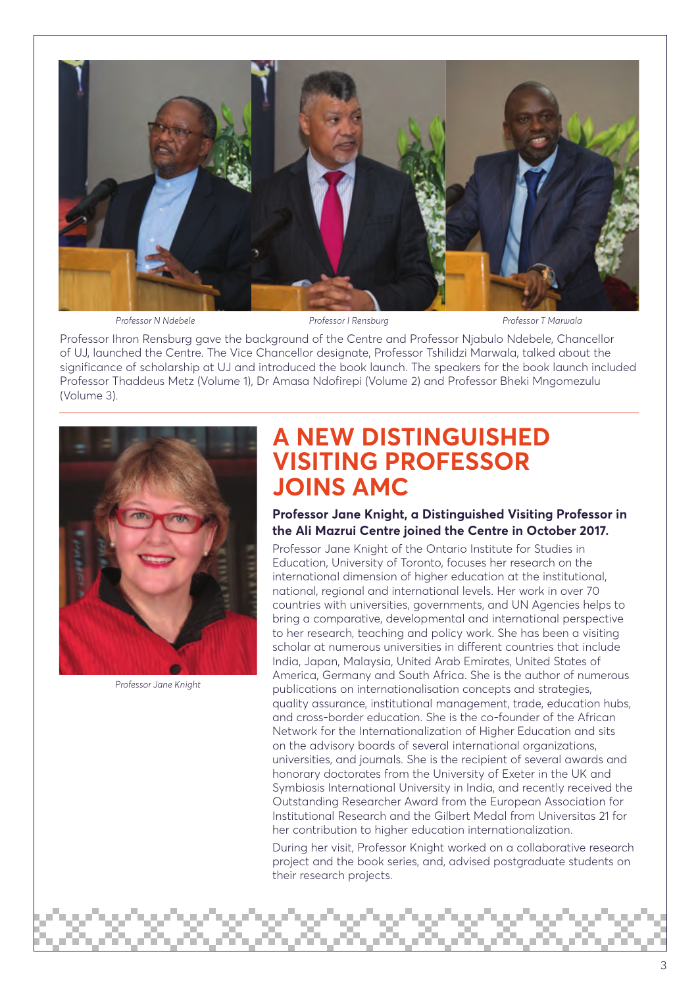

*Professor N Ndebele Professor I Rensburg Professor T Marwala* 

Professor Ihron Rensburg gave the background of the Centre and Professor Njabulo Ndebele, Chancellor of UJ, launched the Centre. The Vice Chancellor designate, Professor Tshilidzi Marwala, talked about the significance of scholarship at UJ and introduced the book launch. The speakers for the book launch included Professor Thaddeus Metz (Volume 1), Dr Amasa Ndofirepi (Volume 2) and Professor Bheki Mngomezulu (Volume 3).



*Professor Jane Knight*

## **A NEW DISTINGUISHED VISITING PROFESSOR JOINS AMC**

**Professor Jane Knight, a Distinguished Visiting Professor in the Ali Mazrui Centre joined the Centre in October 2017.** 

Professor Jane Knight of the Ontario Institute for Studies in Education, University of Toronto, focuses her research on the international dimension of higher education at the institutional, national, regional and international levels. Her work in over 70 countries with universities, governments, and UN Agencies helps to bring a comparative, developmental and international perspective to her research, teaching and policy work. She has been a visiting scholar at numerous universities in different countries that include India, Japan, Malaysia, United Arab Emirates, United States of America, Germany and South Africa. She is the author of numerous publications on internationalisation concepts and strategies, quality assurance, institutional management, trade, education hubs, and cross-border education. She is the co-founder of the African Network for the Internationalization of Higher Education and sits on the advisory boards of several international organizations, universities, and journals. She is the recipient of several awards and honorary doctorates from the University of Exeter in the UK and Symbiosis International University in India, and recently received the Outstanding Researcher Award from the European Association for Institutional Research and the Gilbert Medal from Universitas 21 for her contribution to higher education internationalization.

During her visit, Professor Knight worked on a collaborative research project and the book series, and, advised postgraduate students on their research projects.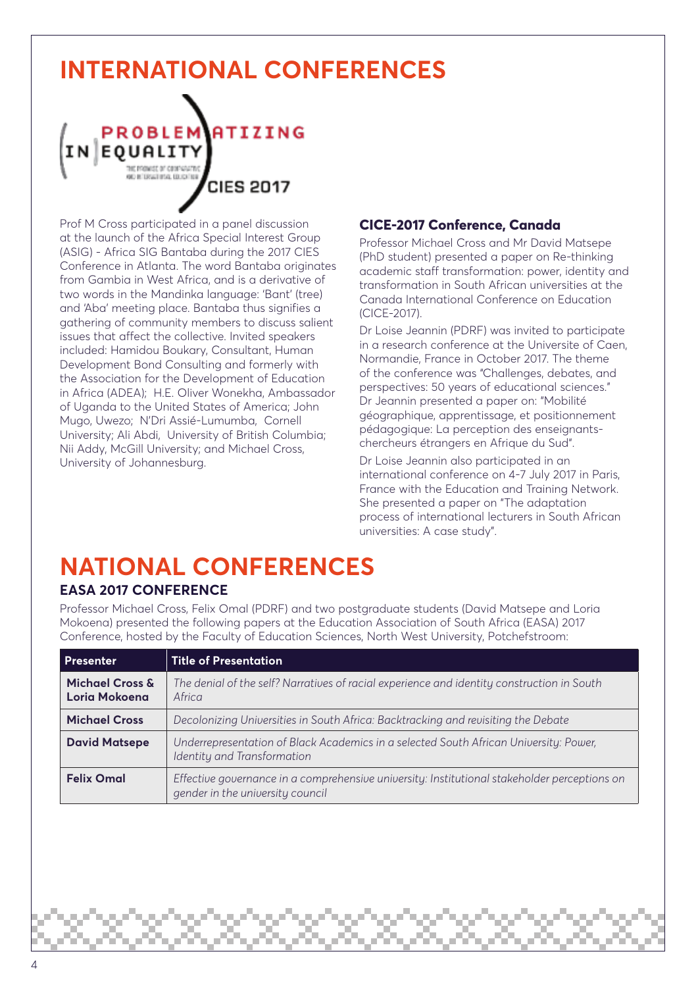## **INTERNATIONAL CONFERENCES**



Prof M Cross participated in a panel discussion at the launch of the Africa Special Interest Group (ASIG) - Africa SIG Bantaba during the 2017 CIES Conference in Atlanta. The word Bantaba originates from Gambia in West Africa, and is a derivative of two words in the Mandinka language: 'Bant' (tree) and 'Aba' meeting place. Bantaba thus signifies a gathering of community members to discuss salient issues that affect the collective. Invited speakers included: Hamidou Boukary, Consultant, Human Development Bond Consulting and formerly with the Association for the Development of Education in Africa (ADEA); H.E. Oliver Wonekha, Ambassador of Uganda to the United States of America; John Mugo, Uwezo; N'Dri Assié-Lumumba, Cornell University; Ali Abdi, University of British Columbia; Nii Addy, McGill University; and Michael Cross, University of Johannesburg.

#### **CICE-2017 Conference, Canada**

Professor Michael Cross and Mr David Matsepe (PhD student) presented a paper on Re-thinking academic staff transformation: power, identity and transformation in South African universities at the Canada International Conference on Education (CICE-2017).

Dr Loise Jeannin (PDRF) was invited to participate in a research conference at the Universite of Caen, Normandie, France in October 2017. The theme of the conference was "Challenges, debates, and perspectives: 50 years of educational sciences." Dr Jeannin presented a paper on: "Mobilité géographique, apprentissage, et positionnement pédagogique: La perception des enseignantschercheurs étrangers en Afrique du Sud".

Dr Loise Jeannin also participated in an international conference on 4-7 July 2017 in Paris, France with the Education and Training Network. She presented a paper on "The adaptation process of international lecturers in South African universities: A case study".

### **NATIONAL CONFERENCES EASA 2017 CONFERENCE**

Professor Michael Cross, Felix Omal (PDRF) and two postgraduate students (David Matsepe and Loria Mokoena) presented the following papers at the Education Association of South Africa (EASA) 2017 Conference, hosted by the Faculty of Education Sciences, North West University, Potchefstroom:

| <b>Presenter</b>                 | <b>Title of Presentation</b>                                                                                                     |
|----------------------------------|----------------------------------------------------------------------------------------------------------------------------------|
| Michael Cross &<br>Loria Mokoena | The denial of the self? Narratives of racial experience and identity construction in South<br>Africa                             |
| <b>Michael Cross</b>             | Decolonizing Universities in South Africa: Backtracking and revisiting the Debate                                                |
| <b>David Matsepe</b>             | Underrepresentation of Black Academics in a selected South African University: Power,<br>Identity and Transformation             |
| <b>Felix Omal</b>                | Effective governance in a comprehensive university: Institutional stakeholder perceptions on<br>gender in the university council |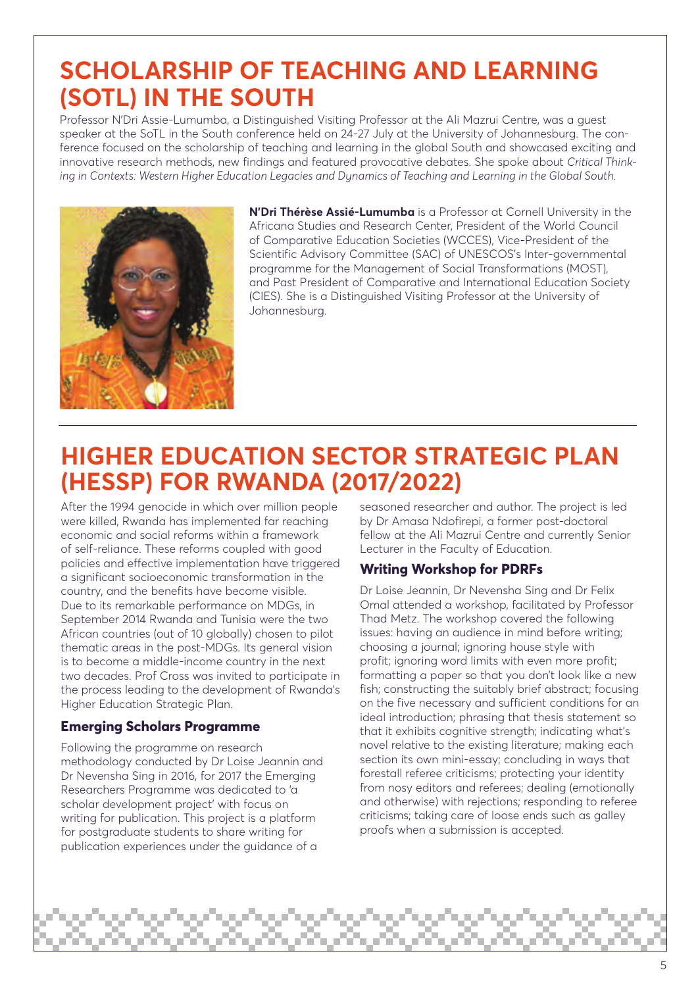## **SCHOLARSHIP OF TEACHING AND LEARNING (SOTL) IN THE SOUTH**

Professor N'Dri Assie-Lumumba, a Distinguished Visiting Professor at the Ali Mazrui Centre, was a guest speaker at the SoTL in the South conference held on 24-27 July at the University of Johannesburg. The conference focused on the scholarship of teaching and learning in the global South and showcased exciting and innovative research methods, new findings and featured provocative debates. She spoke about *Critical Thinking in Contexts: Western Higher Education Legacies and Dynamics of Teaching and Learning in the Global South.*



**N'Dri Thérèse Assié-Lumumba** is a Professor at Cornell University in the Africana Studies and Research Center, President of the World Council of Comparative Education Societies (WCCES), Vice-President of the Scientific Advisory Committee (SAC) of UNESCOS's Inter-governmental programme for the Management of Social Transformations (MOST), and Past President of Comparative and International Education Society (CIES). She is a Distinguished Visiting Professor at the University of Johannesburg.

## **HIGHER EDUCATION SECTOR STRATEGIC PLAN (HESSP) FOR RWANDA (2017/2022)**

After the 1994 genocide in which over million people were killed, Rwanda has implemented far reaching economic and social reforms within a framework of self-reliance. These reforms coupled with good policies and effective implementation have triggered a significant socioeconomic transformation in the country, and the benefits have become visible. Due to its remarkable performance on MDGs, in September 2014 Rwanda and Tunisia were the two African countries (out of 10 globally) chosen to pilot thematic areas in the post-MDGs. Its general vision is to become a middle-income country in the next two decades. Prof Cross was invited to participate in the process leading to the development of Rwanda's Higher Education Strategic Plan.

#### **Emerging Scholars Programme**

Following the programme on research methodology conducted by Dr Loise Jeannin and Dr Nevensha Sing in 2016, for 2017 the Emerging Researchers Programme was dedicated to 'a scholar development project' with focus on writing for publication. This project is a platform for postgraduate students to share writing for publication experiences under the guidance of a

seasoned researcher and author. The project is led by Dr Amasa Ndofirepi, a former post-doctoral fellow at the Ali Mazrui Centre and currently Senior Lecturer in the Faculty of Education.

#### **Writing Workshop for PDRFs**

Dr Loise Jeannin, Dr Nevensha Sing and Dr Felix Omal attended a workshop, facilitated by Professor Thad Metz. The workshop covered the following issues: having an audience in mind before writing; choosing a journal; ignoring house style with profit; ignoring word limits with even more profit; formatting a paper so that you don't look like a new fish; constructing the suitably brief abstract; focusing on the five necessary and sufficient conditions for an ideal introduction; phrasing that thesis statement so that it exhibits cognitive strength; indicating what's novel relative to the existing literature; making each section its own mini-essay; concluding in ways that forestall referee criticisms; protecting your identity from nosy editors and referees; dealing (emotionally and otherwise) with rejections; responding to referee criticisms; taking care of loose ends such as galley proofs when a submission is accepted.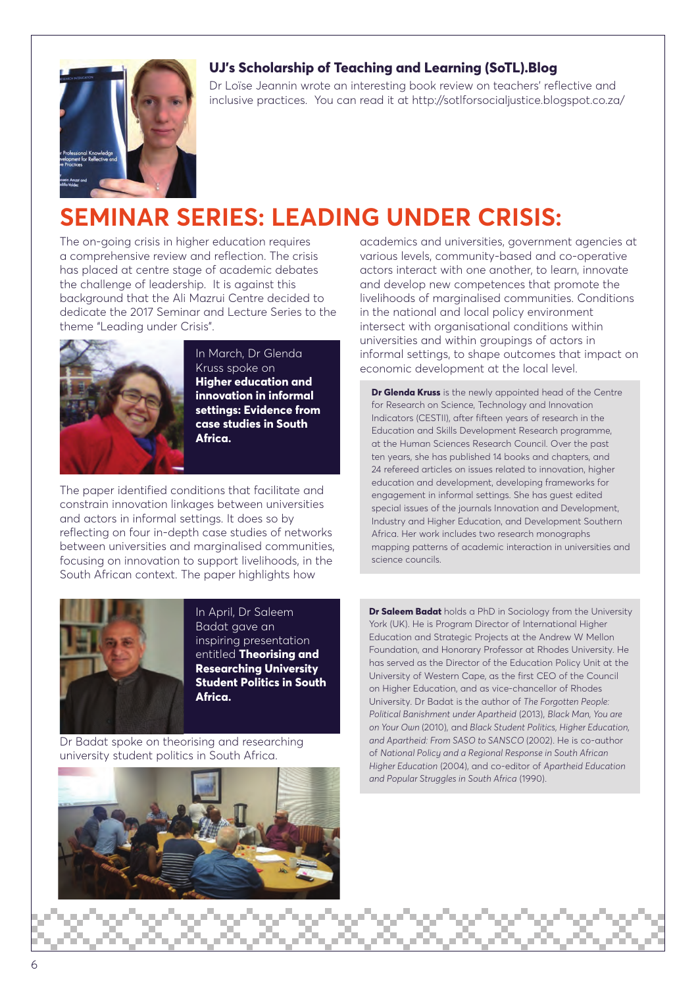#### **UJ's Scholarship of Teaching and Learning (SoTL).Blog**



Dr Loïse Jeannin wrote an interesting book review on teachers' reflective and inclusive practices. You can read it at http://sotlforsocialjustice.blogspot.co.za/

## **SEMINAR SERIES: LEADING UNDER CRISIS:**

The on-going crisis in higher education requires a comprehensive review and reflection. The crisis has placed at centre stage of academic debates the challenge of leadership. It is against this background that the Ali Mazrui Centre decided to dedicate the 2017 Seminar and Lecture Series to the theme "Leading under Crisis".



In March, Dr Glenda Kruss spoke on **Higher education and innovation in informal settings: Evidence from case studies in South Africa.**

The paper identified conditions that facilitate and constrain innovation linkages between universities and actors in informal settings. It does so by reflecting on four in-depth case studies of networks between universities and marginalised communities, focusing on innovation to support livelihoods, in the South African context. The paper highlights how



In April, Dr Saleem Badat gave an inspiring presentation entitled **Theorising and Researching University Student Politics in South Africa.**

Dr Badat spoke on theorising and researching university student politics in South Africa.



academics and universities, government agencies at various levels, community-based and co-operative actors interact with one another, to learn, innovate and develop new competences that promote the livelihoods of marginalised communities. Conditions in the national and local policy environment intersect with organisational conditions within universities and within groupings of actors in informal settings, to shape outcomes that impact on economic development at the local level.

**Dr Glenda Kruss** is the newly appointed head of the Centre for Research on Science, Technology and Innovation Indicators (CESTII), after fifteen years of research in the Education and Skills Development Research programme, at the Human Sciences Research Council. Over the past ten years, she has published 14 books and chapters, and 24 refereed articles on issues related to innovation, higher education and development, developing frameworks for engagement in informal settings. She has guest edited special issues of the journals Innovation and Development, Industry and Higher Education, and Development Southern Africa. Her work includes two research monographs mapping patterns of academic interaction in universities and science councils.

**Dr Saleem Badat** holds a PhD in Sociology from the University York (UK). He is Program Director of International Higher Education and Strategic Projects at the Andrew W Mellon Foundation, and Honorary Professor at Rhodes University. He has served as the Director of the Education Policy Unit at the University of Western Cape, as the first CEO of the Council on Higher Education, and as vice-chancellor of Rhodes University. Dr Badat is the author of *The Forgotten People: Political Banishment under Apartheid* (2013), *Black Man, You are on Your Own* (2010), and *Black Student Politics, Higher Education, and Apartheid: From SASO to SANSCO* (2002). He is co-author of *National Policy and a Regional Response in South African Higher Education* (2004), and co-editor of *Apartheid Education and Popular Struggles in South Africa* (1990).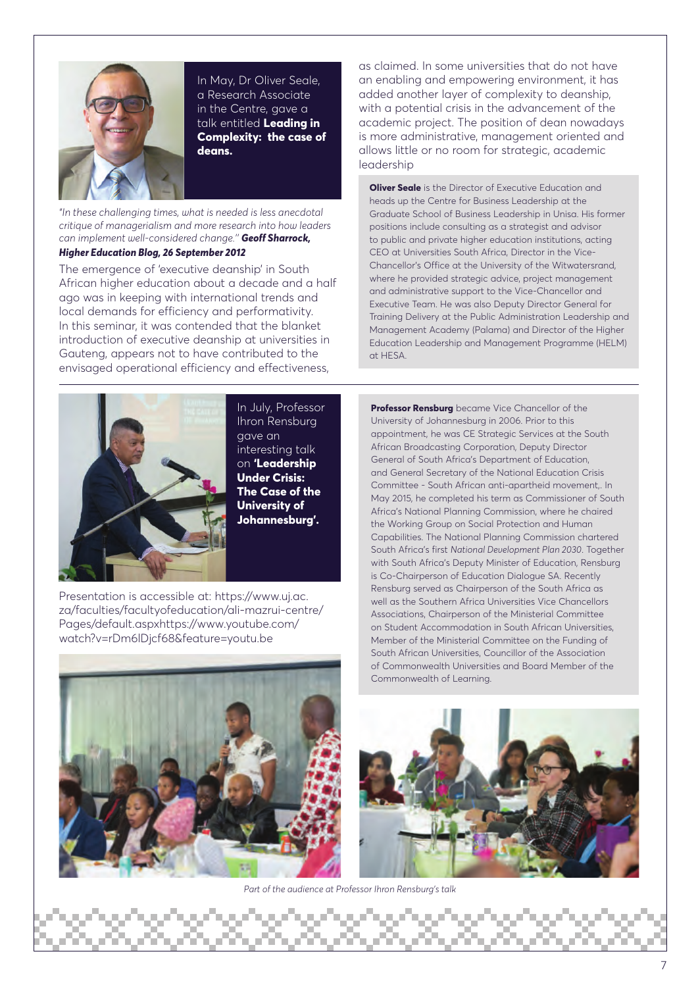

In May, Dr Oliver Seale, a Research Associate in the Centre, gave a talk entitled **Leading in Complexity: the case of deans.**

*"In these challenging times, what is needed is less anecdotal critique of managerialism and more research into how leaders can implement well-considered change.'' Geoff Sharrock,* 

#### *Higher Education Blog, 26 September 2012*

The emergence of 'executive deanship' in South African higher education about a decade and a half ago was in keeping with international trends and local demands for efficiency and performativity. In this seminar, it was contended that the blanket introduction of executive deanship at universities in Gauteng, appears not to have contributed to the envisaged operational efficiency and effectiveness,



In July, Professor Ihron Rensburg gave an interesting talk on **'Leadership Under Crisis: The Case of the University of Johannesburg'.**

Presentation is accessible at: https://www.uj.ac. za/faculties/facultyofeducation/ali-mazrui-centre/ Pages/default.aspxhttps://www.youtube.com/ watch?v=rDm6lDjcf68&feature=youtu.be



as claimed. In some universities that do not have an enabling and empowering environment, it has added another layer of complexity to deanship, with a potential crisis in the advancement of the academic project. The position of dean nowadays is more administrative, management oriented and allows little or no room for strategic, academic leadership

**Oliver Seale** is the Director of Executive Education and heads up the Centre for Business Leadership at the Graduate School of Business Leadership in Unisa. His former positions include consulting as a strategist and advisor to public and private higher education institutions, acting CEO at Universities South Africa, Director in the Vice-Chancellor's Office at the University of the Witwatersrand, where he provided strategic advice, project management and administrative support to the Vice-Chancellor and Executive Team. He was also Deputy Director General for Training Delivery at the Public Administration Leadership and Management Academy (Palama) and Director of the Higher Education Leadership and Management Programme (HELM) at HESA.

**Professor Rensburg** became Vice Chancellor of the University of Johannesburg in 2006. Prior to this appointment, he was CE Strategic Services at the South African Broadcasting Corporation, Deputy Director General of South Africa's Department of Education, and General Secretary of the National Education Crisis Committee - South African anti-apartheid movement,. In May 2015, he completed his term as Commissioner of South Africa's National Planning Commission, where he chaired the Working Group on Social Protection and Human Capabilities. The National Planning Commission chartered South Africa's first *National Development Plan 2030*. Together with South Africa's Deputy Minister of Education, Rensburg is Co-Chairperson of Education Dialogue SA. Recently Rensburg served as Chairperson of the South Africa as well as the Southern Africa Universities Vice Chancellors Associations, Chairperson of the Ministerial Committee on Student Accommodation in South African Universities, Member of the Ministerial Committee on the Funding of South African Universities, Councillor of the Association of Commonwealth Universities and Board Member of the Commonwealth of Learning.



 *Part of the audience at Professor Ihron Rensburg's talk*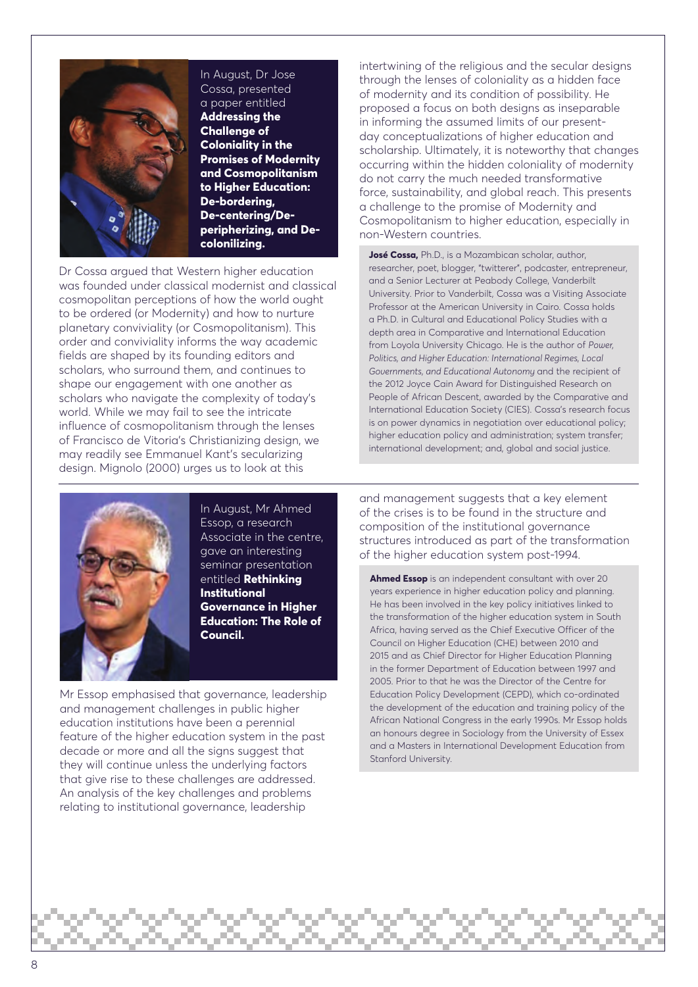

#### In August, Dr Jose Cossa, presented a paper entitled

**Addressing the Challenge of Coloniality in the Promises of Modernity and Cosmopolitanism to Higher Education: De-bordering, De-centering/Deperipherizing, and Decolonilizing.**

Dr Cossa argued that Western higher education was founded under classical modernist and classical cosmopolitan perceptions of how the world ought to be ordered (or Modernity) and how to nurture planetary conviviality (or Cosmopolitanism). This order and conviviality informs the way academic fields are shaped by its founding editors and scholars, who surround them, and continues to shape our engagement with one another as scholars who navigate the complexity of today's world. While we may fail to see the intricate influence of cosmopolitanism through the lenses of Francisco de Vitoria's Christianizing design, we may readily see Emmanuel Kant's secularizing design. Mignolo (2000) urges us to look at this

intertwining of the religious and the secular designs through the lenses of coloniality as a hidden face of modernity and its condition of possibility. He proposed a focus on both designs as inseparable in informing the assumed limits of our presentday conceptualizations of higher education and scholarship. Ultimately, it is noteworthy that changes occurring within the hidden coloniality of modernity do not carry the much needed transformative force, sustainability, and global reach. This presents a challenge to the promise of Modernity and Cosmopolitanism to higher education, especially in non-Western countries.

**José Cossa,** Ph.D., is a Mozambican scholar, author, researcher, poet, blogger, "twitterer", podcaster, entrepreneur, and a Senior Lecturer at Peabody College, Vanderbilt University. Prior to Vanderbilt, Cossa was a Visiting Associate Professor at the American University in Cairo. Cossa holds a Ph.D. in Cultural and Educational Policy Studies with a depth area in Comparative and International Education from Loyola University Chicago. He is the author of *Power, Politics, and Higher Education: International Regimes, Local Governments, and Educational Autonomy* and the recipient of the 2012 Joyce Cain Award for Distinguished Research on People of African Descent, awarded by the Comparative and International Education Society (CIES). Cossa's research focus is on power dynamics in negotiation over educational policy; higher education policy and administration; system transfer; international development; and, global and social justice.



In August, Mr Ahmed Essop, a research Associate in the centre. gave an interesting seminar presentation entitled **Rethinking Institutional Governance in Higher Education: The Role of Council.**

Mr Essop emphasised that governance, leadership and management challenges in public higher education institutions have been a perennial feature of the higher education system in the past decade or more and all the signs suggest that they will continue unless the underlying factors that give rise to these challenges are addressed. An analysis of the key challenges and problems relating to institutional governance, leadership

and management suggests that a key element of the crises is to be found in the structure and composition of the institutional governance structures introduced as part of the transformation of the higher education system post-1994.

**Ahmed Essop** is an independent consultant with over 20 years experience in higher education policy and planning. He has been involved in the key policy initiatives linked to the transformation of the higher education system in South Africa, having served as the Chief Executive Officer of the Council on Higher Education (CHE) between 2010 and 2015 and as Chief Director for Higher Education Planning in the former Department of Education between 1997 and 2005. Prior to that he was the Director of the Centre for Education Policy Development (CEPD), which co-ordinated the development of the education and training policy of the African National Congress in the early 1990s. Mr Essop holds an honours degree in Sociology from the University of Essex and a Masters in International Development Education from Stanford University.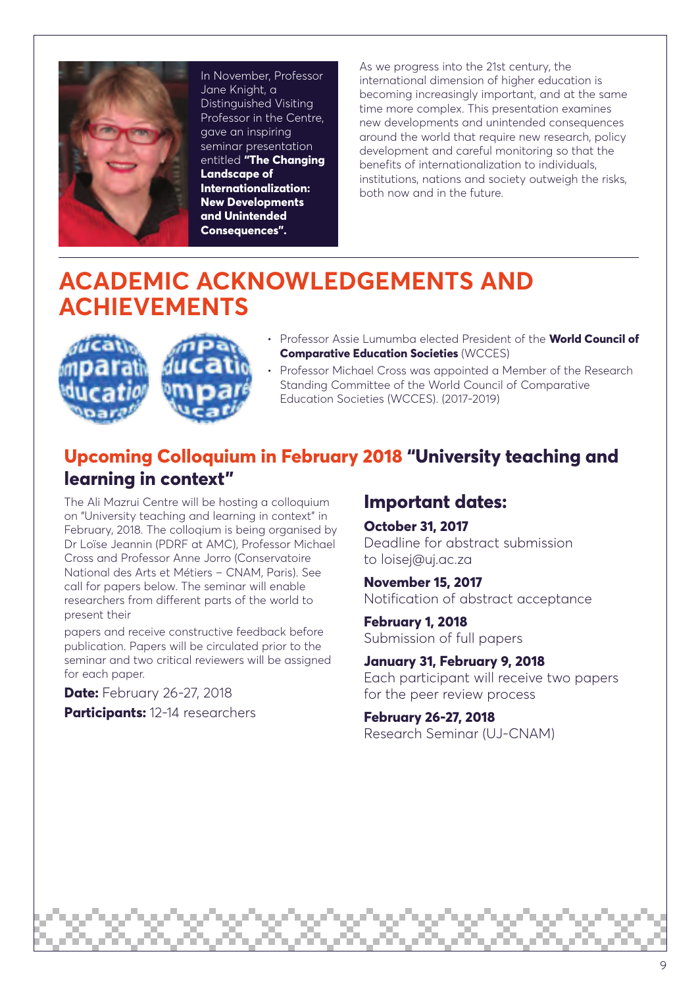

In November, Professor Jane Knight, a Distinguished Visiting Professor in the Centre, gave an inspiring seminar presentation entitled **"The Changing Landscape of Internationalization: New Developments and Unintended Consequences".**

As we progress into the 21st century, the international dimension of higher education is becoming increasingly important, and at the same time more complex. This presentation examines new developments and unintended consequences around the world that require new research, policy development and careful monitoring so that the benefits of internationalization to individuals, institutions, nations and society outweigh the risks, both now and in the future.

## **ACADEMIC ACKNOWLEDGEMENTS AND ACHIEVEMENTS**





- Professor Assie Lumumba elected President of the **World Council of Comparative Education Societies** (WCCES)
- Professor Michael Cross was appointed a Member of the Research Standing Committee of the World Council of Comparative Education Societies (WCCES). (2017-2019)

### **Upcoming Colloquium in February 2018 "University teaching and learning in context"**

The Ali Mazrui Centre will be hosting a colloquium on "University teaching and learning in context" in February, 2018. The colloqium is being organised by Dr Loïse Jeannin (PDRF at AMC), Professor Michael Cross and Professor Anne Jorro (Conservatoire National des Arts et Métiers – CNAM, Paris). See call for papers below. The seminar will enable researchers from different parts of the world to present their

papers and receive constructive feedback before publication. Papers will be circulated prior to the seminar and two critical reviewers will be assigned for each paper.

**Date:** February 26-27, 2018

#### **Participants:** 12-14 researchers

### **Important dates:**

**October 31, 2017** Deadline for abstract submission to loisej@uj.ac.za

**November 15, 2017** Notification of abstract acceptance

**February 1, 2018** Submission of full papers

**January 31, February 9, 2018**  Each participant will receive two papers for the peer review process

**February 26-27, 2018**  Research Seminar (UJ-CNAM)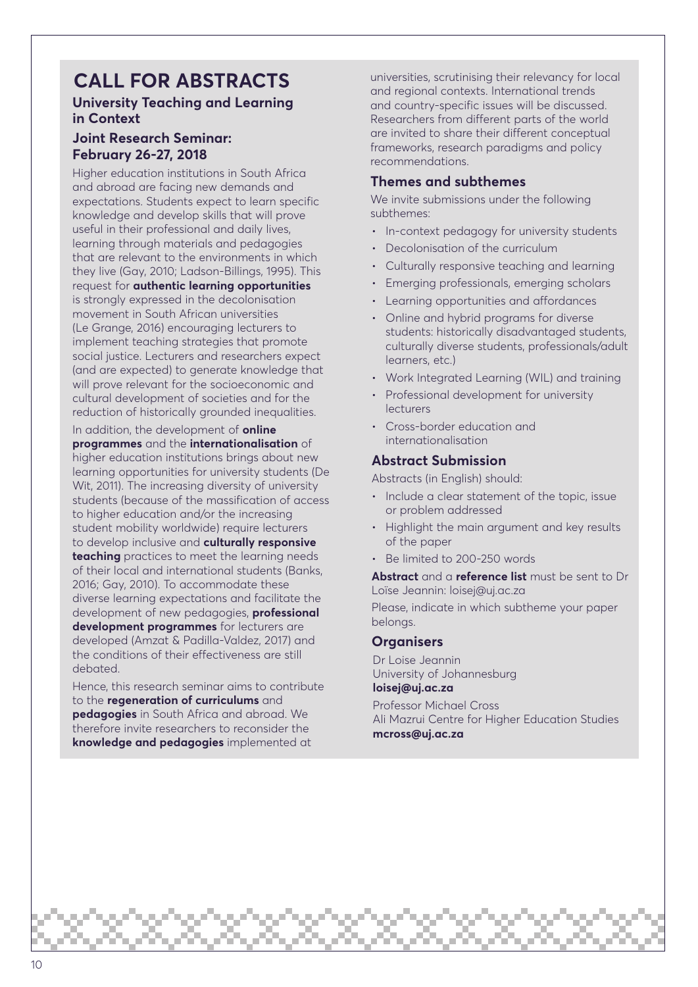## **CALL FOR ABSTRACTS**

#### **University Teaching and Learning in Context**

#### **Joint Research Seminar: February 26-27, 2018**

Higher education institutions in South Africa and abroad are facing new demands and expectations. Students expect to learn specific knowledge and develop skills that will prove useful in their professional and daily lives, learning through materials and pedagogies that are relevant to the environments in which they live (Gay, 2010; Ladson-Billings, 1995). This request for **authentic learning opportunities** is strongly expressed in the decolonisation movement in South African universities (Le Grange, 2016) encouraging lecturers to implement teaching strategies that promote social justice. Lecturers and researchers expect (and are expected) to generate knowledge that will prove relevant for the socioeconomic and cultural development of societies and for the reduction of historically grounded inequalities.

In addition, the development of **online programmes** and the **internationalisation** of higher education institutions brings about new learning opportunities for university students (De Wit, 2011). The increasing diversity of university students (because of the massification of access to higher education and/or the increasing student mobility worldwide) require lecturers to develop inclusive and **culturally responsive teaching** practices to meet the learning needs of their local and international students (Banks, 2016; Gay, 2010). To accommodate these diverse learning expectations and facilitate the development of new pedagogies, **professional development programmes** for lecturers are developed (Amzat & Padilla-Valdez, 2017) and the conditions of their effectiveness are still debated.

Hence, this research seminar aims to contribute to the **regeneration of curriculums** and **pedagogies** in South Africa and abroad. We therefore invite researchers to reconsider the **knowledge and pedagogies** implemented at

universities, scrutinising their relevancy for local and regional contexts. International trends and country-specific issues will be discussed. Researchers from different parts of the world are invited to share their different conceptual frameworks, research paradigms and policy recommendations.

#### **Themes and subthemes**

We invite submissions under the following subthemes:

- In-context pedagogy for university students
- Decolonisation of the curriculum
- Culturally responsive teaching and learning
- Emerging professionals, emerging scholars
- Learning opportunities and affordances
- Online and hybrid programs for diverse students: historically disadvantaged students, culturally diverse students, professionals/adult learners, etc.)
- Work Integrated Learning (WIL) and training
- Professional development for university lecturers
- Cross-border education and internationalisation

#### **Abstract Submission**

Abstracts (in English) should:

- Include a clear statement of the topic, issue or problem addressed
- Highlight the main argument and key results of the paper
- Be limited to 200-250 words

**Abstract** and a **reference list** must be sent to Dr Loïse Jeannin: loisej@uj.ac.za

Please, indicate in which subtheme your paper belongs.

#### **Organisers**

Dr Loise Jeannin University of Johannesburg **loisej@uj.ac.za**

Professor Michael Cross Ali Mazrui Centre for Higher Education Studies **mcross@uj.ac.za**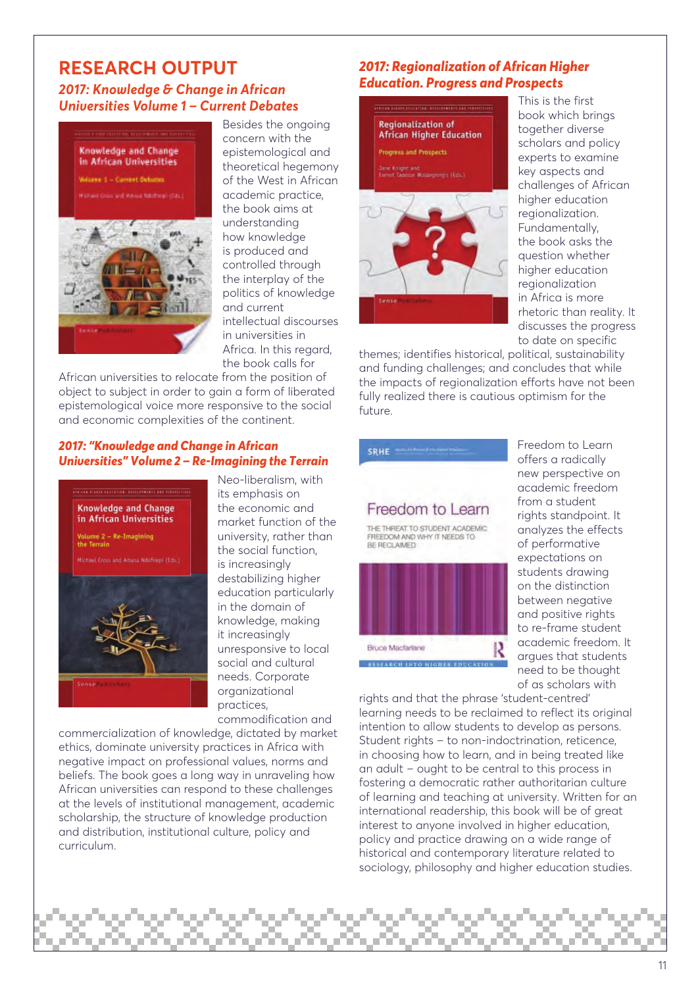#### **RESEARCH OUTPUT**  *2017: Knowledge & Change in African Universities Volume 1 – Current Debates*



Besides the ongoing concern with the epistemological and theoretical hegemony of the West in African academic practice, the book aims at understanding how knowledge is produced and controlled through the interplay of the politics of knowledge and current intellectual discourses in universities in Africa. In this regard, the book calls for

African universities to relocate from the position of object to subject in order to gain a form of liberated epistemological voice more responsive to the social and economic complexities of the continent.

#### *2017: "Knowledge and Change in African Universities" Volume 2 – Re-Imagining the Terrain*



Neo-liberalism, with its emphasis on the economic and market function of the university, rather than the social function, is increasingly destabilizing higher education particularly in the domain of knowledge, making it increasingly unresponsive to local social and cultural needs. Corporate organizational practices, commodification and

commercialization of knowledge, dictated by market ethics, dominate university practices in Africa with negative impact on professional values, norms and beliefs. The book goes a long way in unraveling how African universities can respond to these challenges at the levels of institutional management, academic scholarship, the structure of knowledge production and distribution, institutional culture, policy and curriculum.

#### *2017: Regionalization of African Higher Education. Progress and Prospects*



This is the first book which brings together diverse scholars and policy experts to examine key aspects and challenges of African higher education regionalization. Fundamentally, the book asks the question whether higher education regionalization in Africa is more rhetoric than reality. It discusses the progress to date on specific

themes; identifies historical, political, sustainability and funding challenges; and concludes that while the impacts of regionalization efforts have not been fully realized there is cautious optimism for the future.



Freedom to Learn offers a radically new perspective on academic freedom from a student rights standpoint. It analyzes the effects of performative expectations on students drawing on the distinction between negative and positive rights to re-frame student academic freedom. It argues that students need to be thought of as scholars with

rights and that the phrase 'student-centred' learning needs to be reclaimed to reflect its original intention to allow students to develop as persons. Student rights – to non-indoctrination, reticence, in choosing how to learn, and in being treated like an adult – ought to be central to this process in fostering a democratic rather authoritarian culture of learning and teaching at university. Written for an international readership, this book will be of great interest to anyone involved in higher education, policy and practice drawing on a wide range of historical and contemporary literature related to sociology, philosophy and higher education studies.

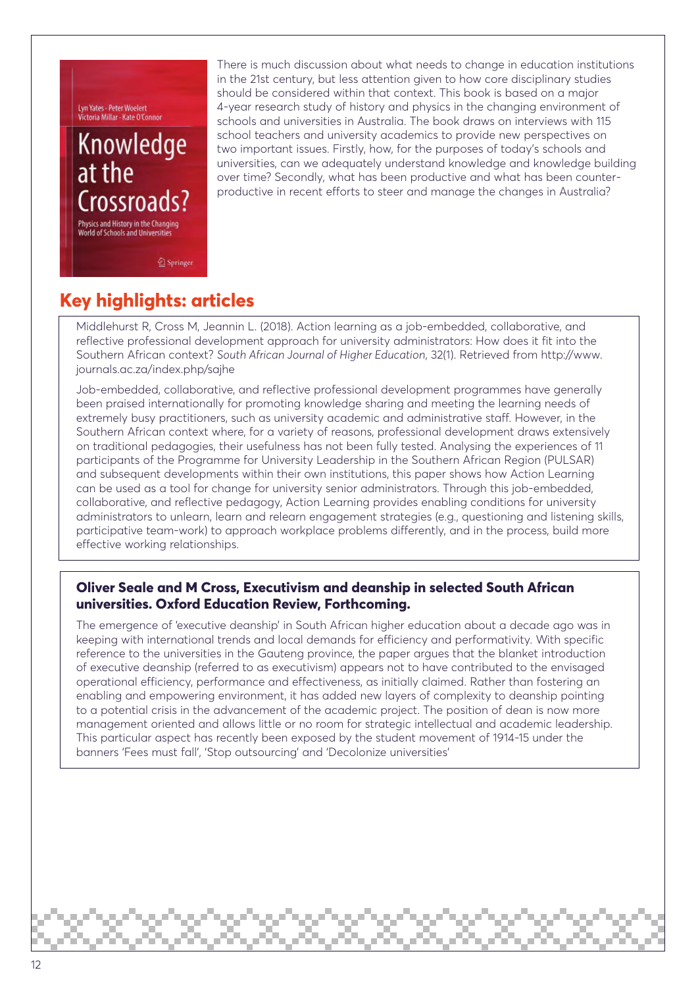Lyn Yates - Peter Woelert<br>Victoria Millar - Kate O'Connor

## Knowledge at the Crossroads

Physics and History in the Changing World of Schools and Universities

There is much discussion about what needs to change in education institutions in the 21st century, but less attention given to how core disciplinary studies should be considered within that context. This book is based on a major 4-year research study of history and physics in the changing environment of schools and universities in Australia. The book draws on interviews with 115 school teachers and university academics to provide new perspectives on two important issues. Firstly, how, for the purposes of today's schools and universities, can we adequately understand knowledge and knowledge building over time? Secondly, what has been productive and what has been counterproductive in recent efforts to steer and manage the changes in Australia?

Springer

### **Key highlights: articles**

Middlehurst R, Cross M, Jeannin L. (2018). Action learning as a job-embedded, collaborative, and reflective professional development approach for university administrators: How does it fit into the Southern African context? *South African Journal of Higher Education*, 32(1). Retrieved from http://www. journals.ac.za/index.php/sajhe

Job-embedded, collaborative, and reflective professional development programmes have generally been praised internationally for promoting knowledge sharing and meeting the learning needs of extremely busy practitioners, such as university academic and administrative staff. However, in the Southern African context where, for a variety of reasons, professional development draws extensively on traditional pedagogies, their usefulness has not been fully tested. Analysing the experiences of 11 participants of the Programme for University Leadership in the Southern African Region (PULSAR) and subsequent developments within their own institutions, this paper shows how Action Learning can be used as a tool for change for university senior administrators. Through this job-embedded, collaborative, and reflective pedagogy, Action Learning provides enabling conditions for university administrators to unlearn, learn and relearn engagement strategies (e.g., questioning and listening skills, participative team-work) to approach workplace problems differently, and in the process, build more effective working relationships.

#### **Oliver Seale and M Cross, Executivism and deanship in selected South African universities. Oxford Education Review, Forthcoming.**

The emergence of 'executive deanship' in South African higher education about a decade ago was in keeping with international trends and local demands for efficiency and performativity. With specific reference to the universities in the Gauteng province, the paper argues that the blanket introduction of executive deanship (referred to as executivism) appears not to have contributed to the envisaged operational efficiency, performance and effectiveness, as initially claimed. Rather than fostering an enabling and empowering environment, it has added new layers of complexity to deanship pointing to a potential crisis in the advancement of the academic project. The position of dean is now more management oriented and allows little or no room for strategic intellectual and academic leadership. This particular aspect has recently been exposed by the student movement of 1914-15 under the banners 'Fees must fall', 'Stop outsourcing' and 'Decolonize universities'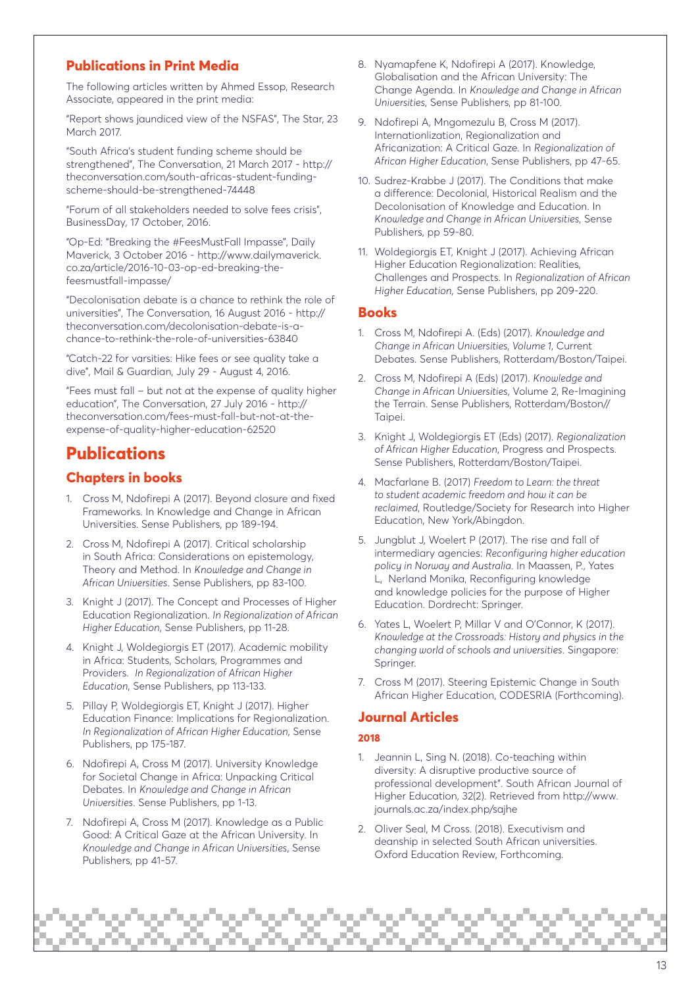#### **Publications in Print Media**

The following articles written by Ahmed Essop, Research Associate, appeared in the print media:

"Report shows jaundiced view of the NSFAS", The Star, 23 March 2017.

"South Africa's student funding scheme should be strengthened", The Conversation, 21 March 2017 - http:// theconversation.com/south-africas-student-fundingscheme-should-be-strengthened-74448

"Forum of all stakeholders needed to solve fees crisis", BusinessDay, 17 October, 2016.

"Op-Ed: "Breaking the #FeesMustFall Impasse", Daily Maverick, 3 October 2016 - http://www.dailymaverick. co.za/article/2016-10-03-op-ed-breaking-thefeesmustfall-impasse/

"Decolonisation debate is a chance to rethink the role of universities", The Conversation, 16 August 2016 - http:// theconversation.com/decolonisation-debate-is-achance-to-rethink-the-role-of-universities-63840

"Catch-22 for varsities: Hike fees or see quality take a dive", Mail & Guardian, July 29 - August 4, 2016.

"Fees must fall – but not at the expense of quality higher education", The Conversation, 27 July 2016 - http:// theconversation.com/fees-must-fall-but-not-at-theexpense-of-quality-higher-education-62520

### **Publications**

#### **Chapters in books**

- 1. Cross M, Ndofirepi A (2017). Beyond closure and fixed Frameworks. In Knowledge and Change in African Universities. Sense Publishers, pp 189-194.
- 2. Cross M, Ndofirepi A (2017). Critical scholarship in South Africa: Considerations on epistemology, Theory and Method. In *Knowledge and Change in African Universities*. Sense Publishers, pp 83-100.
- 3. Knight J (2017). The Concept and Processes of Higher Education Regionalization. *In Regionalization of African Higher Education*, Sense Publishers, pp 11-28.
- 4. Knight J, Woldegiorgis ET (2017). Academic mobility in Africa: Students, Scholars, Programmes and Providers. *In Regionalization of African Higher Education*, Sense Publishers, pp 113-133.
- 5. Pillay P, Woldegiorgis ET, Knight J (2017). Higher Education Finance: Implications for Regionalization. *In Regionalization of African Higher Education*, Sense Publishers, pp 175-187.
- 6. Ndofirepi A, Cross M (2017). University Knowledge for Societal Change in Africa: Unpacking Critical Debates. In *Knowledge and Change in African Universities*. Sense Publishers, pp 1-13.
- 7. Ndofirepi A, Cross M (2017). Knowledge as a Public Good: A Critical Gaze at the African University. In *Knowledge and Change in African Universities*, Sense Publishers, pp 41-57.
- 8. Nyamapfene K, Ndofirepi A (2017). Knowledge, Globalisation and the African University: The Change Agenda. In *Knowledge and Change in African Universities*, Sense Publishers, pp 81-100.
- 9. Ndofirepi A, Mngomezulu B, Cross M (2017). Internationlization, Regionalization and Africanization: A Critical Gaze. In *Regionalization of African Higher Education*, Sense Publishers, pp 47-65.
- 10. Sudrez-Krabbe J (2017). The Conditions that make a difference: Decolonial, Historical Realism and the Decolonisation of Knowledge and Education. In *Knowledge and Change in African Universities*, Sense Publishers, pp 59-80.
- 11. Woldegiorgis ET, Knight J (2017). Achieving African Higher Education Regionalization: Realities, Challenges and Prospects. In *Regionalization of African Higher Education*, Sense Publishers, pp 209-220.

#### **Books**

- 1. Cross M, Ndofirepi A. (Eds) (2017). *Knowledge and Change in African Universities, Volume 1*, Current Debates. Sense Publishers, Rotterdam/Boston/Taipei.
- 2. Cross M, Ndofirepi A (Eds) (2017). *Knowledge and Change in African Universities*, Volume 2, Re-Imagining the Terrain. Sense Publishers, Rotterdam/Boston// Taipei.
- 3. Knight J, Woldegiorgis ET (Eds) (2017). *Regionalization of African Higher Education*, Progress and Prospects. Sense Publishers, Rotterdam/Boston/Taipei.
- 4. Macfarlane B. (2017) *Freedom to Learn: the threat to student academic freedom and how it can be reclaimed*, Routledge/Society for Research into Higher Education, New York/Abingdon.
- 5. Jungblut J, Woelert P (2017). The rise and fall of intermediary agencies: *Reconfiguring higher education policy in Norway and Australia*. In Maassen, P., Yates L, Nerland Monika, Reconfiguring knowledge and knowledge policies for the purpose of Higher Education. Dordrecht: Springer.
- 6. Yates L, Woelert P, Millar V and O'Connor, K (2017). *Knowledge at the Crossroads: History and physics in the changing world of schools and universities*. Singapore: Springer.
- 7. Cross M (2017). Steering Epistemic Change in South African Higher Education, CODESRIA (Forthcoming).

#### **Journal Articles**

#### **2018**

- 1. Jeannin L, Sing N. (2018). Co-teaching within diversity: A disruptive productive source of professional development". South African Journal of Higher Education, 32(2). Retrieved from http://www. journals.ac.za/index.php/sajhe
- 2. Oliver Seal, M Cross. (2018). Executivism and deanship in selected South African universities. Oxford Education Review, Forthcoming.